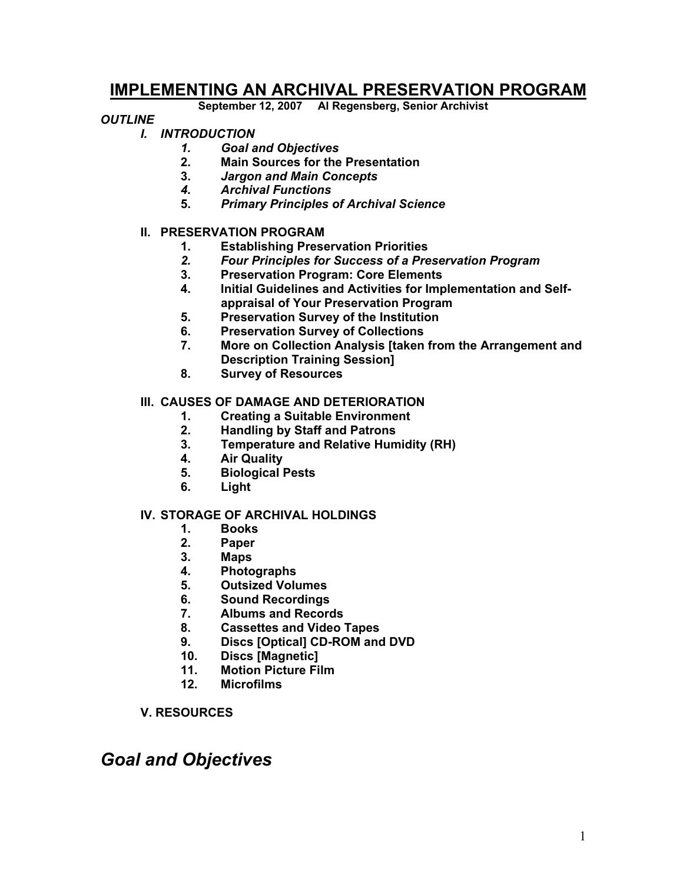### **IMPLEMENTING AN ARCHIVAL PRESERVATION PROGRAM**

**September 12, 2007 Al Regensberg, Senior Archivist** 

#### *OUTLINE*

- *I. INTRODUCTION* 
	- *1. Goal and Objectives*
	- **2. Main Sources for the Presentation**
	- **3.** *Jargon and Main Concepts*
	- *4. Archival Functions*
	- **5.** *Primary Principles of Archival Science*

#### **II. PRESERVATION PROGRAM**

- **1. Establishing Preservation Priorities**
- *2. Four Principles for Success of a Preservation Program*
- **3. Preservation Program: Core Elements**
- **4. Initial Guidelines and Activities for Implementation and Selfappraisal of Your Preservation Program**
- **5. Preservation Survey of the Institution**
- **6. Preservation Survey of Collections**
- **7. More on Collection Analysis [taken from the Arrangement and Description Training Session]**
- **8. Survey of Resources**

#### **III. CAUSES OF DAMAGE AND DETERIORATION**

- **1. Creating a Suitable Environment**
- **2. Handling by Staff and Patrons**
- **3. Temperature and Relative Humidity (RH)**
- **4. Air Quality**
- **5. Biological Pests**
- **6. Light**

#### **IV. STORAGE OF ARCHIVAL HOLDINGS**

- **1. Books**
- **2. Paper**
- **3. Maps**
- **4. Photographs**
- **5. Outsized Volumes**
- **6. Sound Recordings**
- **7. Albums and Records**
- **8. Cassettes and Video Tapes**
- **9. Discs [Optical] CD-ROM and DVD**
- **10. Discs [Magnetic]**
- **11. Motion Picture Film**
- **12. Microfilms**
- **V. RESOURCES**

### *Goal and Objectives*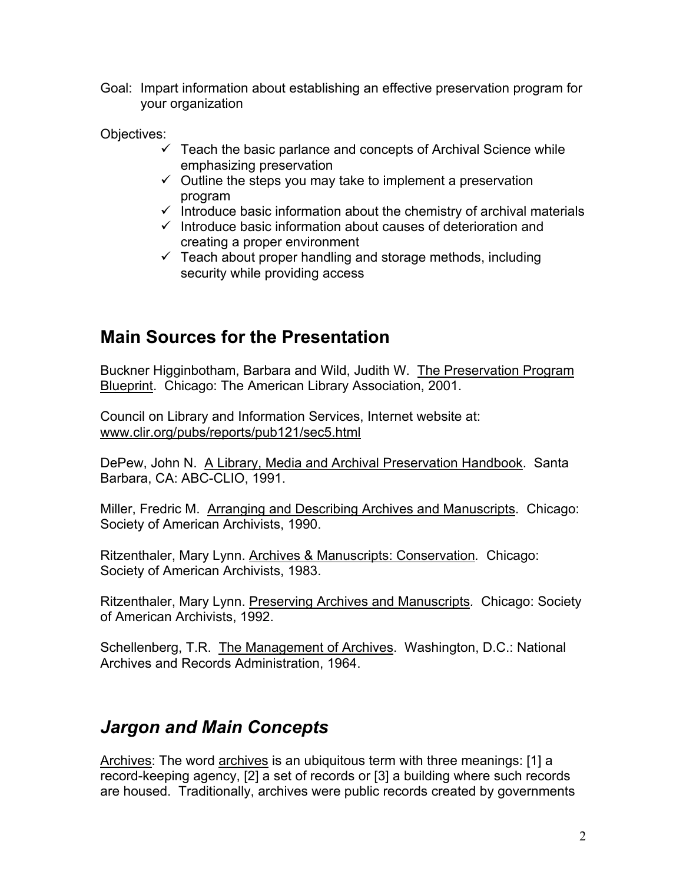Goal: Impart information about establishing an effective preservation program for your organization

Objectives:

- $\checkmark$  Teach the basic parlance and concepts of Archival Science while emphasizing preservation
- $\checkmark$  Outline the steps you may take to implement a preservation program
- $\checkmark$  Introduce basic information about the chemistry of archival materials
- $\checkmark$  Introduce basic information about causes of deterioration and creating a proper environment
- $\checkmark$  Teach about proper handling and storage methods, including security while providing access

### **Main Sources for the Presentation**

Buckner Higginbotham, Barbara and Wild, Judith W. The Preservation Program Blueprint. Chicago: The American Library Association, 2001.

Council on Library and Information Services, Internet website at: www.clir.org/pubs/reports/pub121/sec5.html

DePew, John N. A Library, Media and Archival Preservation Handbook. Santa Barbara, CA: ABC-CLIO, 1991.

Miller, Fredric M. Arranging and Describing Archives and Manuscripts. Chicago: Society of American Archivists, 1990.

Ritzenthaler, Mary Lynn. Archives & Manuscripts: Conservation*.* Chicago: Society of American Archivists, 1983.

Ritzenthaler, Mary Lynn. Preserving Archives and Manuscripts*.* Chicago: Society of American Archivists, 1992.

Schellenberg, T.R. The Management of Archives. Washington, D.C.: National Archives and Records Administration, 1964.

### *Jargon and Main Concepts*

Archives: The word archives is an ubiquitous term with three meanings: [1] a record-keeping agency, [2] a set of records or [3] a building where such records are housed. Traditionally, archives were public records created by governments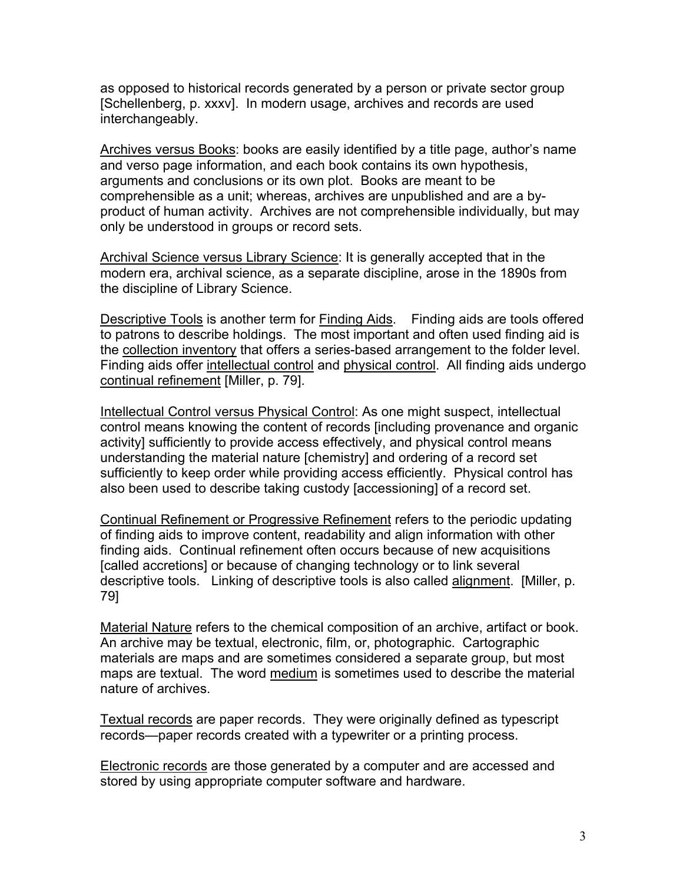as opposed to historical records generated by a person or private sector group [Schellenberg, p. xxxv]. In modern usage, archives and records are used interchangeably.

Archives versus Books: books are easily identified by a title page, author's name and verso page information, and each book contains its own hypothesis, arguments and conclusions or its own plot. Books are meant to be comprehensible as a unit; whereas, archives are unpublished and are a byproduct of human activity. Archives are not comprehensible individually, but may only be understood in groups or record sets.

Archival Science versus Library Science: It is generally accepted that in the modern era, archival science, as a separate discipline, arose in the 1890s from the discipline of Library Science.

Descriptive Tools is another term for Finding Aids. Finding aids are tools offered to patrons to describe holdings. The most important and often used finding aid is the collection inventory that offers a series-based arrangement to the folder level. Finding aids offer intellectual control and physical control. All finding aids undergo continual refinement [Miller, p. 79].

Intellectual Control versus Physical Control: As one might suspect, intellectual control means knowing the content of records [including provenance and organic activity] sufficiently to provide access effectively, and physical control means understanding the material nature [chemistry] and ordering of a record set sufficiently to keep order while providing access efficiently. Physical control has also been used to describe taking custody [accessioning] of a record set.

Continual Refinement or Progressive Refinement refers to the periodic updating of finding aids to improve content, readability and align information with other finding aids. Continual refinement often occurs because of new acquisitions [called accretions] or because of changing technology or to link several descriptive tools. Linking of descriptive tools is also called alignment. [Miller, p. 79]

Material Nature refers to the chemical composition of an archive, artifact or book. An archive may be textual, electronic, film, or, photographic. Cartographic materials are maps and are sometimes considered a separate group, but most maps are textual. The word medium is sometimes used to describe the material nature of archives.

Textual records are paper records. They were originally defined as typescript records—paper records created with a typewriter or a printing process.

Electronic records are those generated by a computer and are accessed and stored by using appropriate computer software and hardware.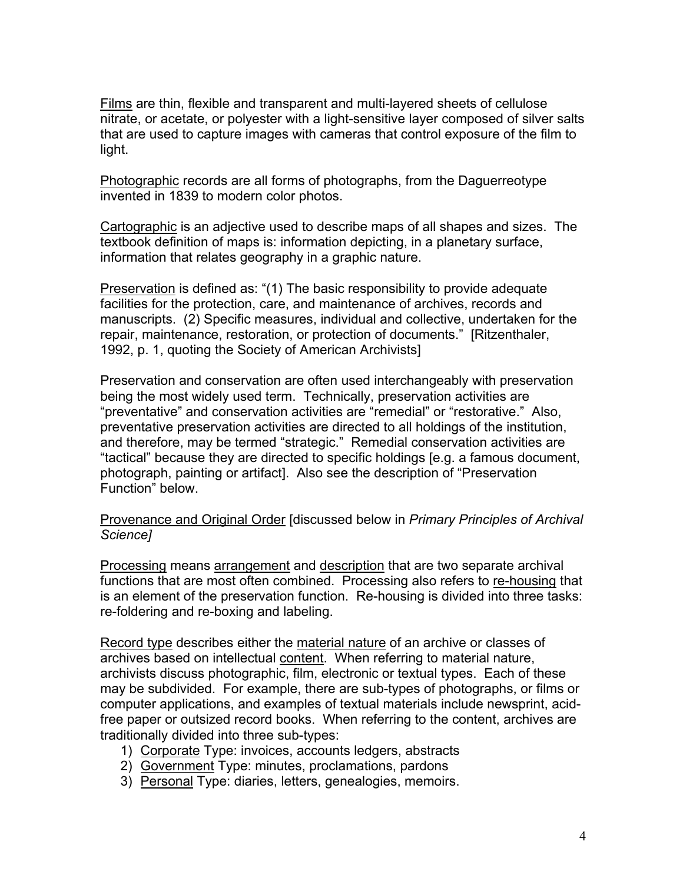Films are thin, flexible and transparent and multi-layered sheets of cellulose nitrate, or acetate, or polyester with a light-sensitive layer composed of silver salts that are used to capture images with cameras that control exposure of the film to light.

Photographic records are all forms of photographs, from the Daguerreotype invented in 1839 to modern color photos.

Cartographic is an adjective used to describe maps of all shapes and sizes. The textbook definition of maps is: information depicting, in a planetary surface, information that relates geography in a graphic nature.

Preservation is defined as: "(1) The basic responsibility to provide adequate facilities for the protection, care, and maintenance of archives, records and manuscripts. (2) Specific measures, individual and collective, undertaken for the repair, maintenance, restoration, or protection of documents." [Ritzenthaler, 1992, p. 1, quoting the Society of American Archivists]

Preservation and conservation are often used interchangeably with preservation being the most widely used term. Technically, preservation activities are "preventative" and conservation activities are "remedial" or "restorative." Also, preventative preservation activities are directed to all holdings of the institution, and therefore, may be termed "strategic." Remedial conservation activities are "tactical" because they are directed to specific holdings [e.g. a famous document, photograph, painting or artifact]. Also see the description of "Preservation Function" below.

Provenance and Original Order [discussed below in *Primary Principles of Archival Science]*

Processing means arrangement and description that are two separate archival functions that are most often combined. Processing also refers to re-housing that is an element of the preservation function. Re-housing is divided into three tasks: re-foldering and re-boxing and labeling.

Record type describes either the material nature of an archive or classes of archives based on intellectual content. When referring to material nature, archivists discuss photographic, film, electronic or textual types. Each of these may be subdivided. For example, there are sub-types of photographs, or films or computer applications, and examples of textual materials include newsprint, acidfree paper or outsized record books. When referring to the content, archives are traditionally divided into three sub-types:

- 1) Corporate Type: invoices, accounts ledgers, abstracts
- 2) Government Type: minutes, proclamations, pardons
- 3) Personal Type: diaries, letters, genealogies, memoirs.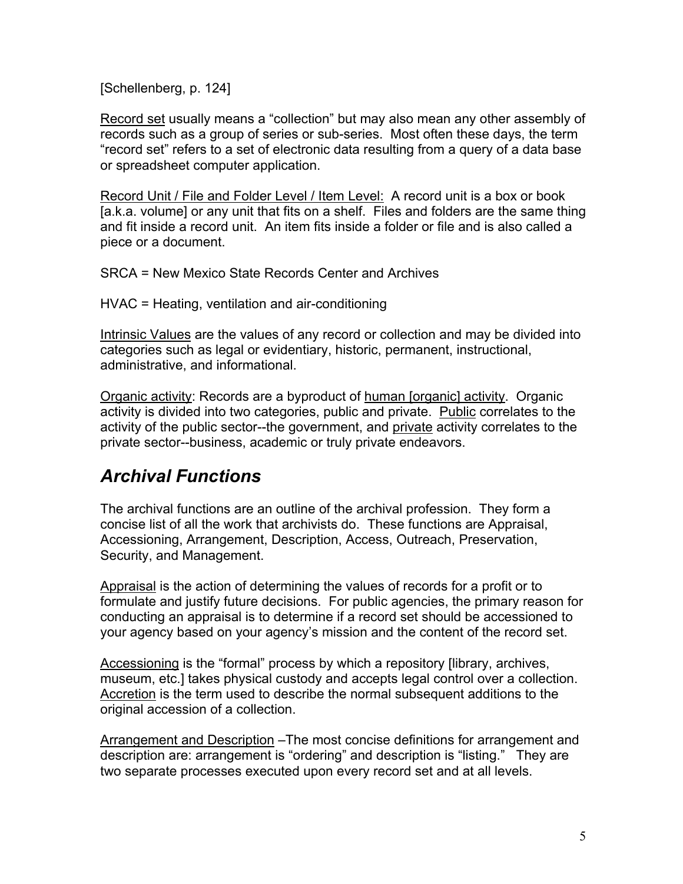[Schellenberg, p. 124]

Record set usually means a "collection" but may also mean any other assembly of records such as a group of series or sub-series. Most often these days, the term "record set" refers to a set of electronic data resulting from a query of a data base or spreadsheet computer application.

Record Unit / File and Folder Level / Item Level: A record unit is a box or book [a.k.a. volume] or any unit that fits on a shelf. Files and folders are the same thing and fit inside a record unit. An item fits inside a folder or file and is also called a piece or a document.

SRCA = New Mexico State Records Center and Archives

HVAC = Heating, ventilation and air-conditioning

Intrinsic Values are the values of any record or collection and may be divided into categories such as legal or evidentiary, historic, permanent, instructional, administrative, and informational.

Organic activity: Records are a byproduct of human [organic] activity. Organic activity is divided into two categories, public and private. Public correlates to the activity of the public sector--the government, and private activity correlates to the private sector--business, academic or truly private endeavors.

# *Archival Functions*

The archival functions are an outline of the archival profession. They form a concise list of all the work that archivists do. These functions are Appraisal, Accessioning, Arrangement, Description, Access, Outreach, Preservation, Security, and Management.

Appraisal is the action of determining the values of records for a profit or to formulate and justify future decisions. For public agencies, the primary reason for conducting an appraisal is to determine if a record set should be accessioned to your agency based on your agency's mission and the content of the record set.

Accessioning is the "formal" process by which a repository [library, archives, museum, etc.] takes physical custody and accepts legal control over a collection. Accretion is the term used to describe the normal subsequent additions to the original accession of a collection.

Arrangement and Description –The most concise definitions for arrangement and description are: arrangement is "ordering" and description is "listing." They are two separate processes executed upon every record set and at all levels.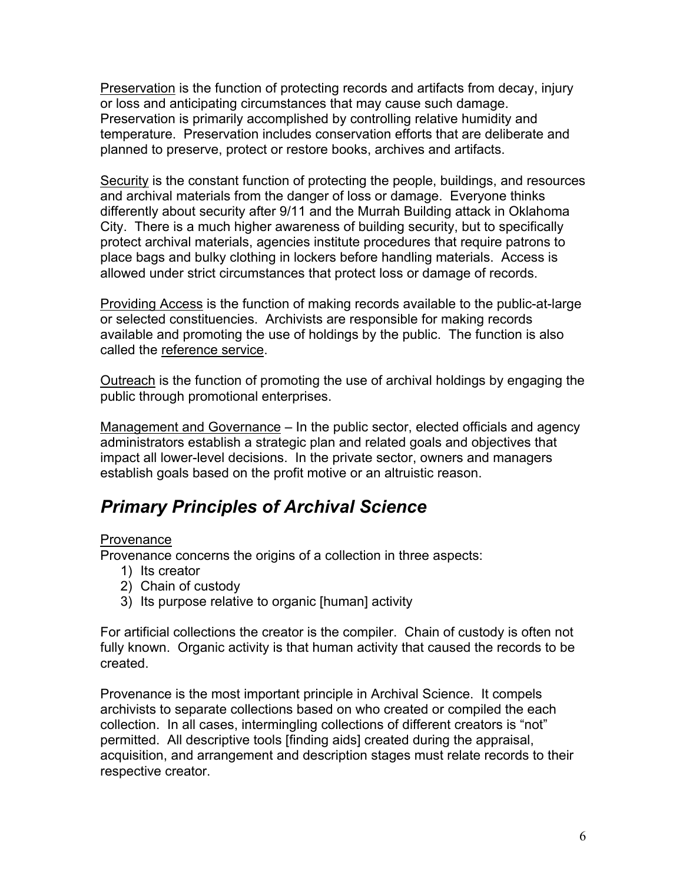Preservation is the function of protecting records and artifacts from decay, injury or loss and anticipating circumstances that may cause such damage. Preservation is primarily accomplished by controlling relative humidity and temperature. Preservation includes conservation efforts that are deliberate and planned to preserve, protect or restore books, archives and artifacts.

Security is the constant function of protecting the people, buildings, and resources and archival materials from the danger of loss or damage. Everyone thinks differently about security after 9/11 and the Murrah Building attack in Oklahoma City. There is a much higher awareness of building security, but to specifically protect archival materials, agencies institute procedures that require patrons to place bags and bulky clothing in lockers before handling materials. Access is allowed under strict circumstances that protect loss or damage of records.

Providing Access is the function of making records available to the public-at-large or selected constituencies. Archivists are responsible for making records available and promoting the use of holdings by the public. The function is also called the reference service.

Outreach is the function of promoting the use of archival holdings by engaging the public through promotional enterprises.

Management and Governance – In the public sector, elected officials and agency administrators establish a strategic plan and related goals and objectives that impact all lower-level decisions. In the private sector, owners and managers establish goals based on the profit motive or an altruistic reason.

# *Primary Principles of Archival Science*

#### **Provenance**

Provenance concerns the origins of a collection in three aspects:

- 1) Its creator
- 2) Chain of custody
- 3) Its purpose relative to organic [human] activity

For artificial collections the creator is the compiler. Chain of custody is often not fully known. Organic activity is that human activity that caused the records to be created.

Provenance is the most important principle in Archival Science. It compels archivists to separate collections based on who created or compiled the each collection. In all cases, intermingling collections of different creators is "not" permitted. All descriptive tools [finding aids] created during the appraisal, acquisition, and arrangement and description stages must relate records to their respective creator.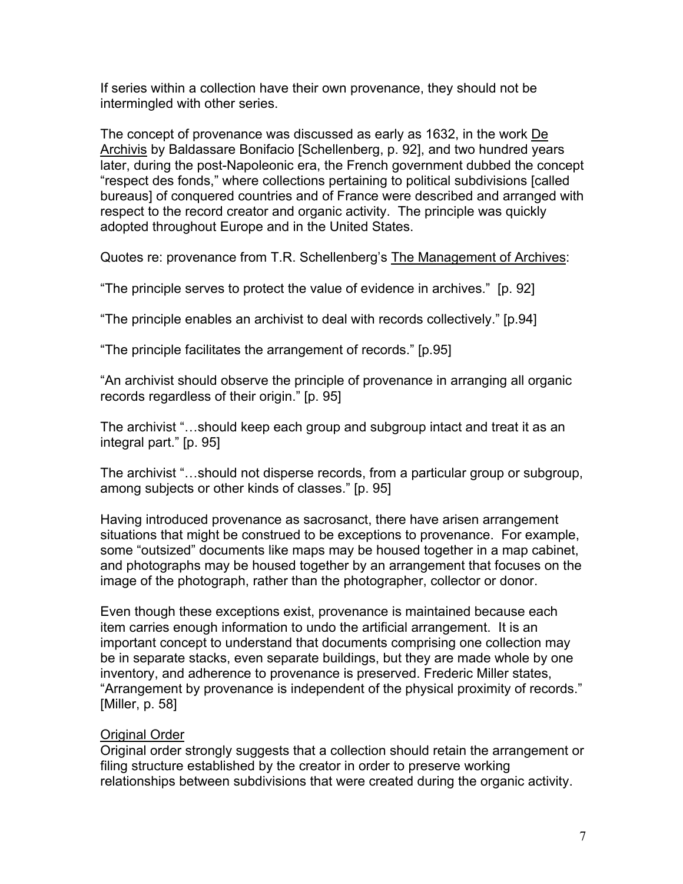If series within a collection have their own provenance, they should not be intermingled with other series.

The concept of provenance was discussed as early as 1632, in the work De Archivis by Baldassare Bonifacio [Schellenberg, p. 92], and two hundred years later, during the post-Napoleonic era, the French government dubbed the concept "respect des fonds," where collections pertaining to political subdivisions [called bureaus] of conquered countries and of France were described and arranged with respect to the record creator and organic activity. The principle was quickly adopted throughout Europe and in the United States.

Quotes re: provenance from T.R. Schellenberg's The Management of Archives:

"The principle serves to protect the value of evidence in archives." [p. 92]

"The principle enables an archivist to deal with records collectively." [p.94]

"The principle facilitates the arrangement of records." [p.95]

"An archivist should observe the principle of provenance in arranging all organic records regardless of their origin." [p. 95]

The archivist "…should keep each group and subgroup intact and treat it as an integral part." [p. 95]

The archivist "…should not disperse records, from a particular group or subgroup, among subjects or other kinds of classes." [p. 95]

Having introduced provenance as sacrosanct, there have arisen arrangement situations that might be construed to be exceptions to provenance. For example, some "outsized" documents like maps may be housed together in a map cabinet, and photographs may be housed together by an arrangement that focuses on the image of the photograph, rather than the photographer, collector or donor.

Even though these exceptions exist, provenance is maintained because each item carries enough information to undo the artificial arrangement. It is an important concept to understand that documents comprising one collection may be in separate stacks, even separate buildings, but they are made whole by one inventory, and adherence to provenance is preserved. Frederic Miller states, "Arrangement by provenance is independent of the physical proximity of records." [Miller, p. 58]

#### **Original Order**

Original order strongly suggests that a collection should retain the arrangement or filing structure established by the creator in order to preserve working relationships between subdivisions that were created during the organic activity.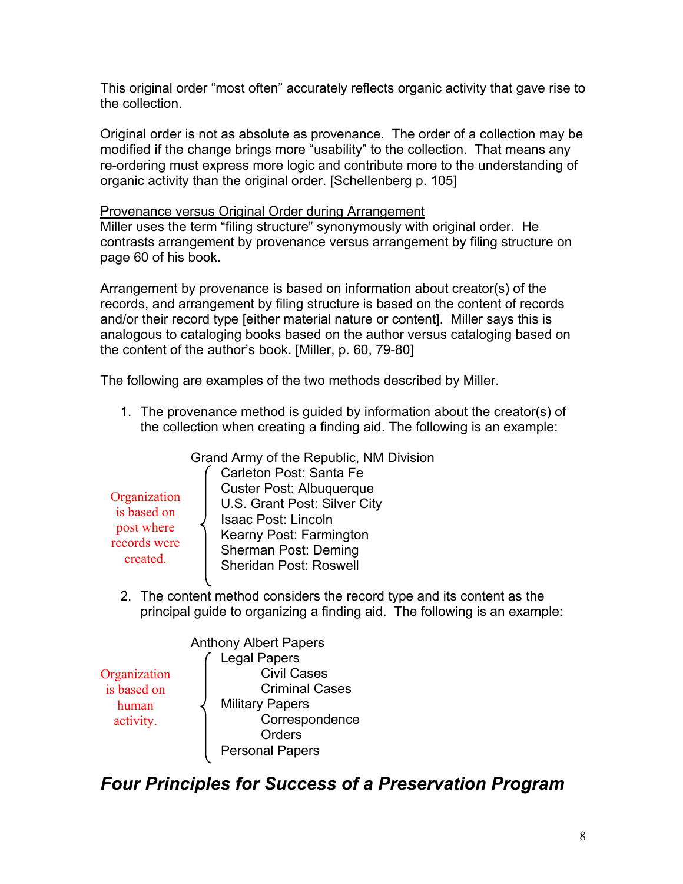This original order "most often" accurately reflects organic activity that gave rise to the collection.

Original order is not as absolute as provenance. The order of a collection may be modified if the change brings more "usability" to the collection. That means any re-ordering must express more logic and contribute more to the understanding of organic activity than the original order. [Schellenberg p. 105]

Provenance versus Original Order during Arrangement

Miller uses the term "filing structure" synonymously with original order. He contrasts arrangement by provenance versus arrangement by filing structure on page 60 of his book.

Arrangement by provenance is based on information about creator(s) of the records, and arrangement by filing structure is based on the content of records and/or their record type [either material nature or content]. Miller says this is analogous to cataloging books based on the author versus cataloging based on the content of the author's book. [Miller, p. 60, 79-80]

The following are examples of the two methods described by Miller.

1. The provenance method is guided by information about the creator(s) of the collection when creating a finding aid. The following is an example:

Grand Army of the Republic, NM Division Carleton Post: Santa Fe Custer Post: Albuquerque U.S. Grant Post: Silver City Isaac Post: Lincoln Kearny Post: Farmington Sherman Post: Deming Sheridan Post: Roswell **Organization** records were

2. The content method considers the record type and its content as the principal guide to organizing a finding aid. The following is an example:

|              | <b>Anthony Albert Papers</b> |
|--------------|------------------------------|
|              | <b>Legal Papers</b>          |
| Organization | <b>Civil Cases</b>           |
| is based on  | <b>Criminal Cases</b>        |
| human        | <b>Military Papers</b>       |
| activity.    | Correspondence               |
|              | Orders                       |
|              | <b>Personal Papers</b>       |
|              |                              |

is based on post where

created.

*Four Principles for Success of a Preservation Program*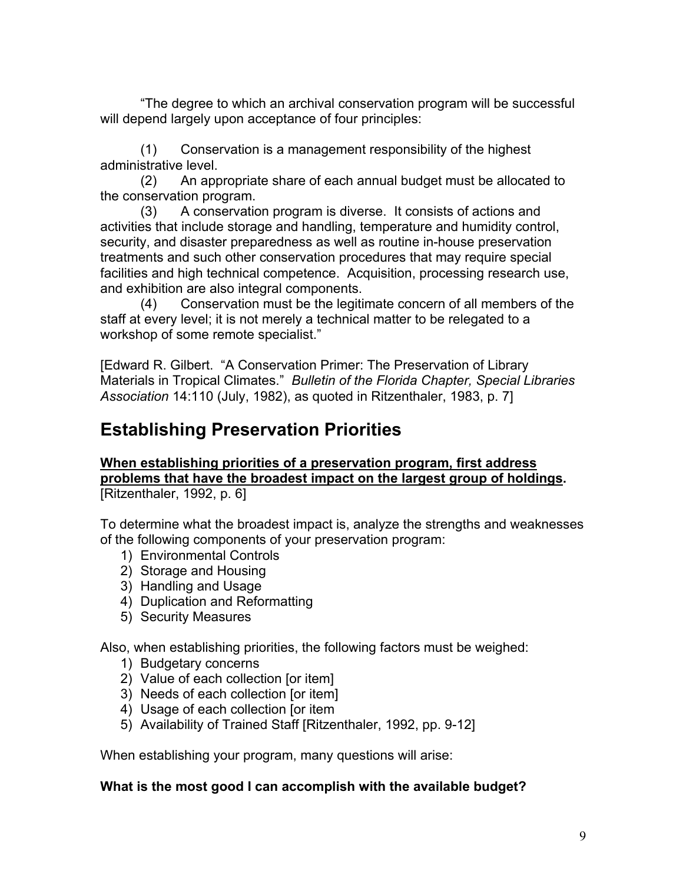"The degree to which an archival conservation program will be successful will depend largely upon acceptance of four principles:

(1) Conservation is a management responsibility of the highest administrative level.

(2) An appropriate share of each annual budget must be allocated to the conservation program.

(3) A conservation program is diverse. It consists of actions and activities that include storage and handling, temperature and humidity control, security, and disaster preparedness as well as routine in-house preservation treatments and such other conservation procedures that may require special facilities and high technical competence. Acquisition, processing research use, and exhibition are also integral components.

(4) Conservation must be the legitimate concern of all members of the staff at every level; it is not merely a technical matter to be relegated to a workshop of some remote specialist."

[Edward R. Gilbert. "A Conservation Primer: The Preservation of Library Materials in Tropical Climates." *Bulletin of the Florida Chapter, Special Libraries Association* 14:110 (July, 1982), as quoted in Ritzenthaler, 1983, p. 7]

# **Establishing Preservation Priorities**

**When establishing priorities of a preservation program, first address problems that have the broadest impact on the largest group of holdings.** [Ritzenthaler, 1992, p. 6]

To determine what the broadest impact is, analyze the strengths and weaknesses of the following components of your preservation program:

- 1) Environmental Controls
- 2) Storage and Housing
- 3) Handling and Usage
- 4) Duplication and Reformatting
- 5) Security Measures

Also, when establishing priorities, the following factors must be weighed:

- 1) Budgetary concerns
- 2) Value of each collection [or item]
- 3) Needs of each collection [or item]
- 4) Usage of each collection [or item
- 5) Availability of Trained Staff [Ritzenthaler, 1992, pp. 9-12]

When establishing your program, many questions will arise:

#### **What is the most good I can accomplish with the available budget?**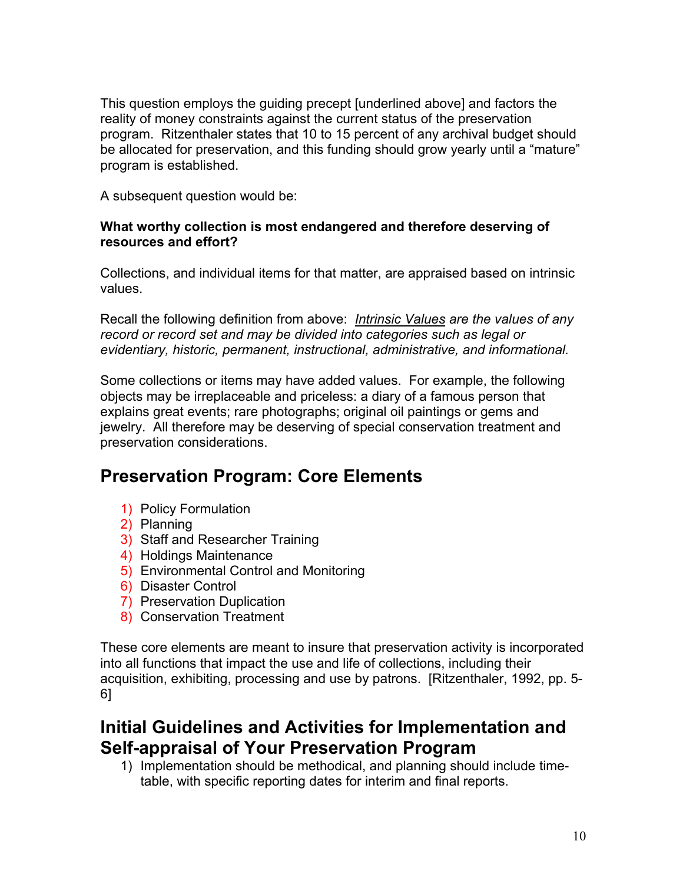This question employs the guiding precept [underlined above] and factors the reality of money constraints against the current status of the preservation program. Ritzenthaler states that 10 to 15 percent of any archival budget should be allocated for preservation, and this funding should grow yearly until a "mature" program is established.

A subsequent question would be:

#### **What worthy collection is most endangered and therefore deserving of resources and effort?**

Collections, and individual items for that matter, are appraised based on intrinsic values.

Recall the following definition from above: *Intrinsic Values are the values of any record or record set and may be divided into categories such as legal or evidentiary, historic, permanent, instructional, administrative, and informational.*

Some collections or items may have added values. For example, the following objects may be irreplaceable and priceless: a diary of a famous person that explains great events; rare photographs; original oil paintings or gems and jewelry. All therefore may be deserving of special conservation treatment and preservation considerations.

# **Preservation Program: Core Elements**

- 1) Policy Formulation
- 2) Planning
- 3) Staff and Researcher Training
- 4) Holdings Maintenance
- 5) Environmental Control and Monitoring
- 6) Disaster Control
- 7) Preservation Duplication
- 8) Conservation Treatment

These core elements are meant to insure that preservation activity is incorporated into all functions that impact the use and life of collections, including their acquisition, exhibiting, processing and use by patrons. [Ritzenthaler, 1992, pp. 5- 6]

### **Initial Guidelines and Activities for Implementation and Self-appraisal of Your Preservation Program**

1) Implementation should be methodical, and planning should include timetable, with specific reporting dates for interim and final reports.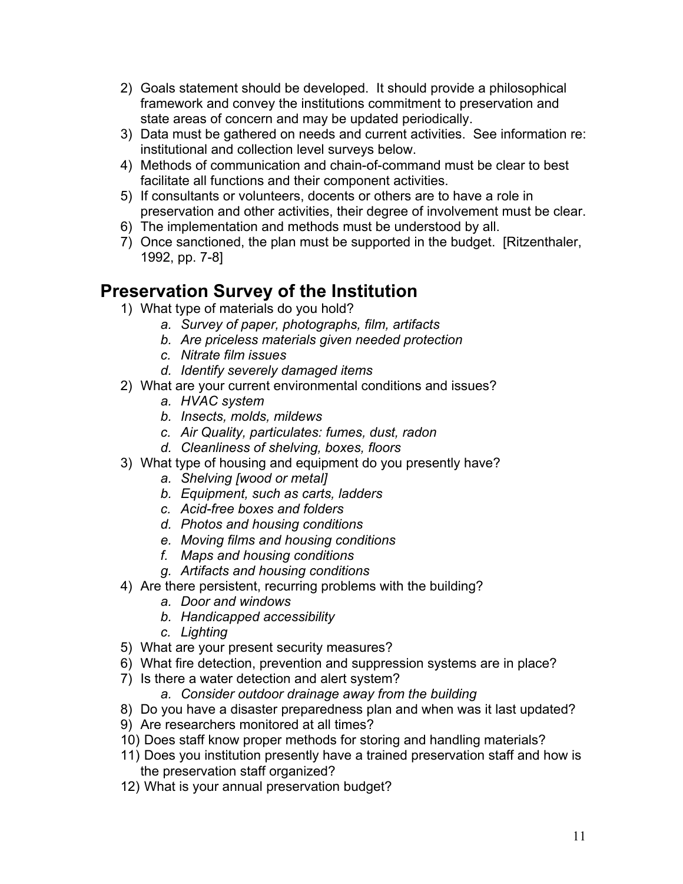- 2) Goals statement should be developed. It should provide a philosophical framework and convey the institutions commitment to preservation and state areas of concern and may be updated periodically.
- 3) Data must be gathered on needs and current activities. See information re: institutional and collection level surveys below.
- 4) Methods of communication and chain-of-command must be clear to best facilitate all functions and their component activities.
- 5) If consultants or volunteers, docents or others are to have a role in preservation and other activities, their degree of involvement must be clear.
- 6) The implementation and methods must be understood by all.
- 7) Once sanctioned, the plan must be supported in the budget. [Ritzenthaler, 1992, pp. 7-8]

### **Preservation Survey of the Institution**

- 1) What type of materials do you hold?
	- *a. Survey of paper, photographs, film, artifacts*
	- *b. Are priceless materials given needed protection*
	- *c. Nitrate film issues*
	- *d. Identify severely damaged items*
- 2) What are your current environmental conditions and issues?
	- *a. HVAC system*
	- *b. Insects, molds, mildews*
	- *c. Air Quality, particulates: fumes, dust, radon*
	- *d. Cleanliness of shelving, boxes, floors*
- 3) What type of housing and equipment do you presently have?
	- *a. Shelving [wood or metal]*
	- *b. Equipment, such as carts, ladders*
	- *c. Acid-free boxes and folders*
	- *d. Photos and housing conditions*
	- *e. Moving films and housing conditions*
	- *f. Maps and housing conditions*
	- *g. Artifacts and housing conditions*
- 4) Are there persistent, recurring problems with the building?
	- *a. Door and windows*
	- *b. Handicapped accessibility*
	- *c. Lighting*
- 5) What are your present security measures?
- 6) What fire detection, prevention and suppression systems are in place?
- 7) Is there a water detection and alert system?
	- *a. Consider outdoor drainage away from the building*
- 8) Do you have a disaster preparedness plan and when was it last updated?
- 9) Are researchers monitored at all times?
- 10) Does staff know proper methods for storing and handling materials?
- 11) Does you institution presently have a trained preservation staff and how is the preservation staff organized?
- 12) What is your annual preservation budget?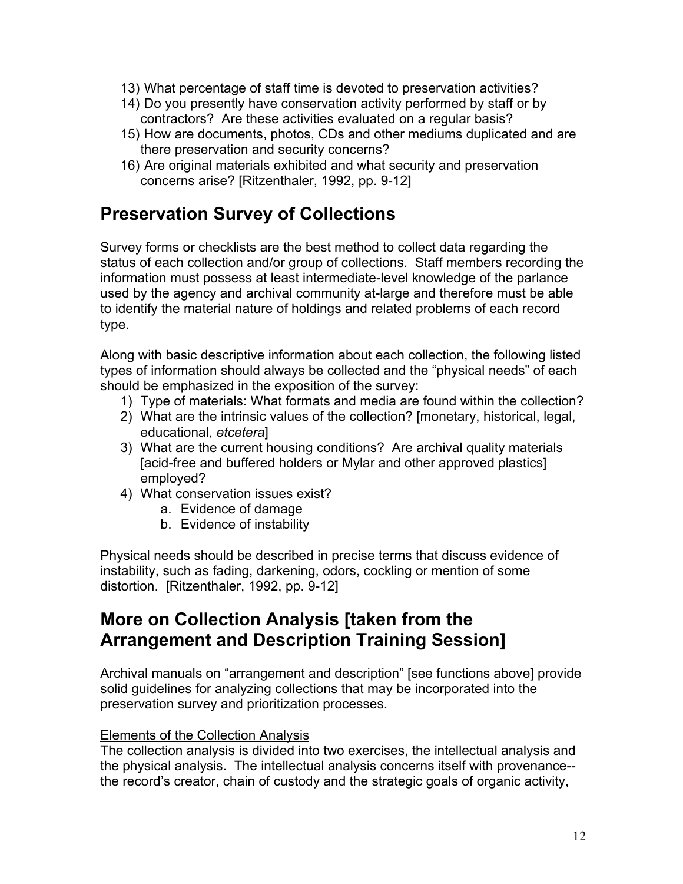- 13) What percentage of staff time is devoted to preservation activities?
- 14) Do you presently have conservation activity performed by staff or by contractors? Are these activities evaluated on a regular basis?
- 15) How are documents, photos, CDs and other mediums duplicated and are there preservation and security concerns?
- 16) Are original materials exhibited and what security and preservation concerns arise? [Ritzenthaler, 1992, pp. 9-12]

### **Preservation Survey of Collections**

Survey forms or checklists are the best method to collect data regarding the status of each collection and/or group of collections. Staff members recording the information must possess at least intermediate-level knowledge of the parlance used by the agency and archival community at-large and therefore must be able to identify the material nature of holdings and related problems of each record type.

Along with basic descriptive information about each collection, the following listed types of information should always be collected and the "physical needs" of each should be emphasized in the exposition of the survey:

- 1) Type of materials: What formats and media are found within the collection?
- 2) What are the intrinsic values of the collection? [monetary, historical, legal, educational, *etcetera*]
- 3) What are the current housing conditions? Are archival quality materials [acid-free and buffered holders or Mylar and other approved plastics] employed?
- 4) What conservation issues exist?
	- a. Evidence of damage
	- b. Evidence of instability

Physical needs should be described in precise terms that discuss evidence of instability, such as fading, darkening, odors, cockling or mention of some distortion. [Ritzenthaler, 1992, pp. 9-12]

### **More on Collection Analysis [taken from the Arrangement and Description Training Session]**

Archival manuals on "arrangement and description" [see functions above] provide solid guidelines for analyzing collections that may be incorporated into the preservation survey and prioritization processes.

#### Elements of the Collection Analysis

The collection analysis is divided into two exercises, the intellectual analysis and the physical analysis. The intellectual analysis concerns itself with provenance- the record's creator, chain of custody and the strategic goals of organic activity,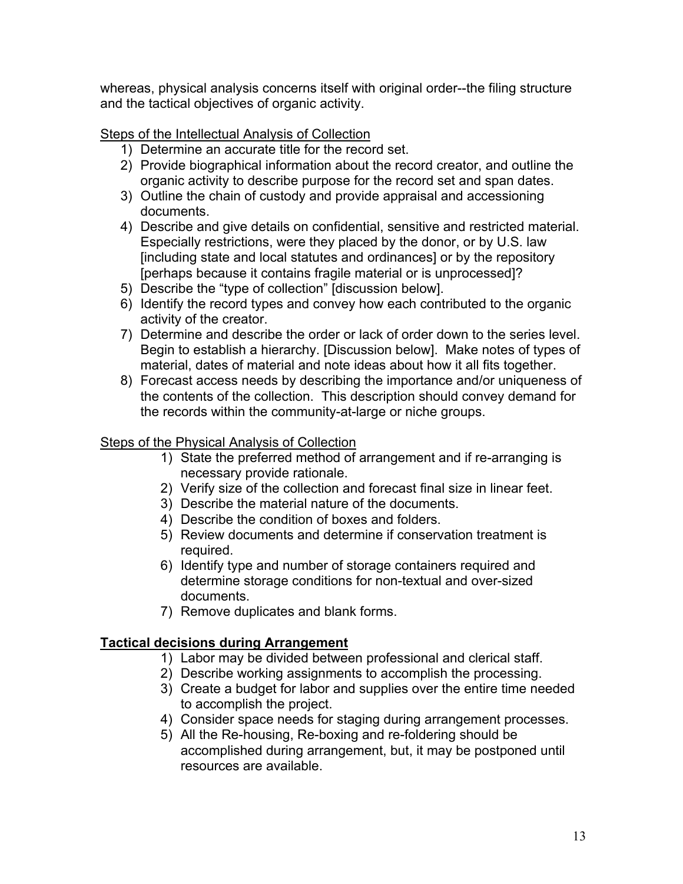whereas, physical analysis concerns itself with original order--the filing structure and the tactical objectives of organic activity.

Steps of the Intellectual Analysis of Collection

- 1) Determine an accurate title for the record set.
- 2) Provide biographical information about the record creator, and outline the organic activity to describe purpose for the record set and span dates.
- 3) Outline the chain of custody and provide appraisal and accessioning documents.
- 4) Describe and give details on confidential, sensitive and restricted material. Especially restrictions, were they placed by the donor, or by U.S. law [including state and local statutes and ordinances] or by the repository [perhaps because it contains fragile material or is unprocessed]?
- 5) Describe the "type of collection" [discussion below].
- 6) Identify the record types and convey how each contributed to the organic activity of the creator.
- 7) Determine and describe the order or lack of order down to the series level. Begin to establish a hierarchy. [Discussion below]. Make notes of types of material, dates of material and note ideas about how it all fits together.
- 8) Forecast access needs by describing the importance and/or uniqueness of the contents of the collection. This description should convey demand for the records within the community-at-large or niche groups.

#### Steps of the Physical Analysis of Collection

- 1) State the preferred method of arrangement and if re-arranging is necessary provide rationale.
- 2) Verify size of the collection and forecast final size in linear feet.
- 3) Describe the material nature of the documents.
- 4) Describe the condition of boxes and folders.
- 5) Review documents and determine if conservation treatment is required.
- 6) Identify type and number of storage containers required and determine storage conditions for non-textual and over-sized documents.
- 7) Remove duplicates and blank forms.

#### **Tactical decisions during Arrangement**

- 1) Labor may be divided between professional and clerical staff.
- 2) Describe working assignments to accomplish the processing.
- 3) Create a budget for labor and supplies over the entire time needed to accomplish the project.
- 4) Consider space needs for staging during arrangement processes.
- 5) All the Re-housing, Re-boxing and re-foldering should be accomplished during arrangement, but, it may be postponed until resources are available.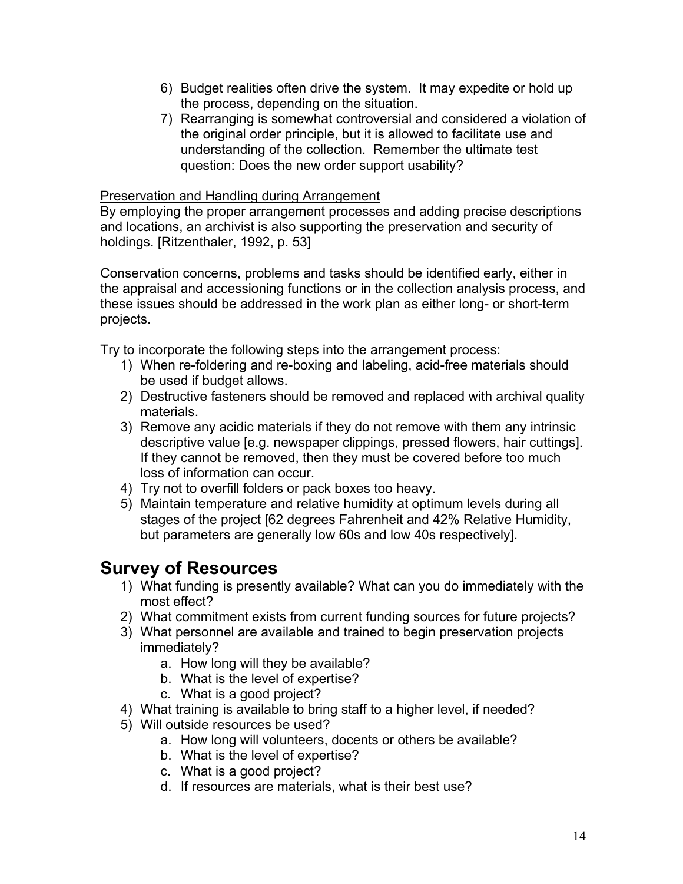- 6) Budget realities often drive the system. It may expedite or hold up the process, depending on the situation.
- 7) Rearranging is somewhat controversial and considered a violation of the original order principle, but it is allowed to facilitate use and understanding of the collection. Remember the ultimate test question: Does the new order support usability?

#### Preservation and Handling during Arrangement

By employing the proper arrangement processes and adding precise descriptions and locations, an archivist is also supporting the preservation and security of holdings. [Ritzenthaler, 1992, p. 53]

Conservation concerns, problems and tasks should be identified early, either in the appraisal and accessioning functions or in the collection analysis process, and these issues should be addressed in the work plan as either long- or short-term projects.

Try to incorporate the following steps into the arrangement process:

- 1) When re-foldering and re-boxing and labeling, acid-free materials should be used if budget allows.
- 2) Destructive fasteners should be removed and replaced with archival quality materials.
- 3) Remove any acidic materials if they do not remove with them any intrinsic descriptive value [e.g. newspaper clippings, pressed flowers, hair cuttings]. If they cannot be removed, then they must be covered before too much loss of information can occur.
- 4) Try not to overfill folders or pack boxes too heavy.
- 5) Maintain temperature and relative humidity at optimum levels during all stages of the project [62 degrees Fahrenheit and 42% Relative Humidity, but parameters are generally low 60s and low 40s respectively].

### **Survey of Resources**

- 1) What funding is presently available? What can you do immediately with the most effect?
- 2) What commitment exists from current funding sources for future projects?
- 3) What personnel are available and trained to begin preservation projects immediately?
	- a. How long will they be available?
	- b. What is the level of expertise?
	- c. What is a good project?
- 4) What training is available to bring staff to a higher level, if needed?
- 5) Will outside resources be used?
	- a. How long will volunteers, docents or others be available?
	- b. What is the level of expertise?
	- c. What is a good project?
	- d. If resources are materials, what is their best use?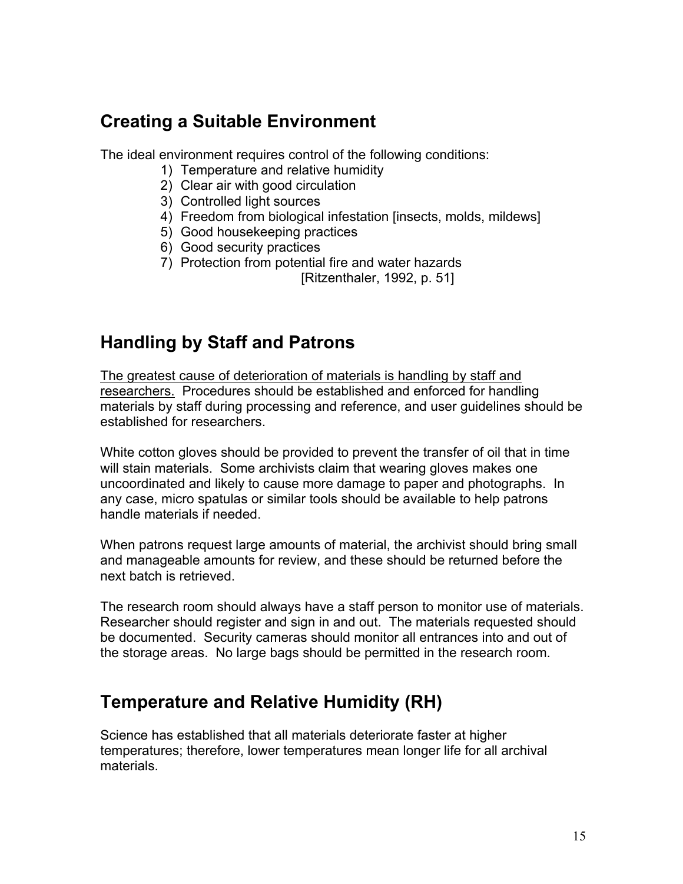### **Creating a Suitable Environment**

The ideal environment requires control of the following conditions:

- 1) Temperature and relative humidity
- 2) Clear air with good circulation
- 3) Controlled light sources
- 4) Freedom from biological infestation [insects, molds, mildews]
- 5) Good housekeeping practices
- 6) Good security practices
- 7) Protection from potential fire and water hazards

[Ritzenthaler, 1992, p. 51]

# **Handling by Staff and Patrons**

The greatest cause of deterioration of materials is handling by staff and researchers. Procedures should be established and enforced for handling materials by staff during processing and reference, and user guidelines should be established for researchers.

White cotton gloves should be provided to prevent the transfer of oil that in time will stain materials. Some archivists claim that wearing gloves makes one uncoordinated and likely to cause more damage to paper and photographs. In any case, micro spatulas or similar tools should be available to help patrons handle materials if needed.

When patrons request large amounts of material, the archivist should bring small and manageable amounts for review, and these should be returned before the next batch is retrieved.

The research room should always have a staff person to monitor use of materials. Researcher should register and sign in and out. The materials requested should be documented. Security cameras should monitor all entrances into and out of the storage areas. No large bags should be permitted in the research room.

### **Temperature and Relative Humidity (RH)**

Science has established that all materials deteriorate faster at higher temperatures; therefore, lower temperatures mean longer life for all archival materials.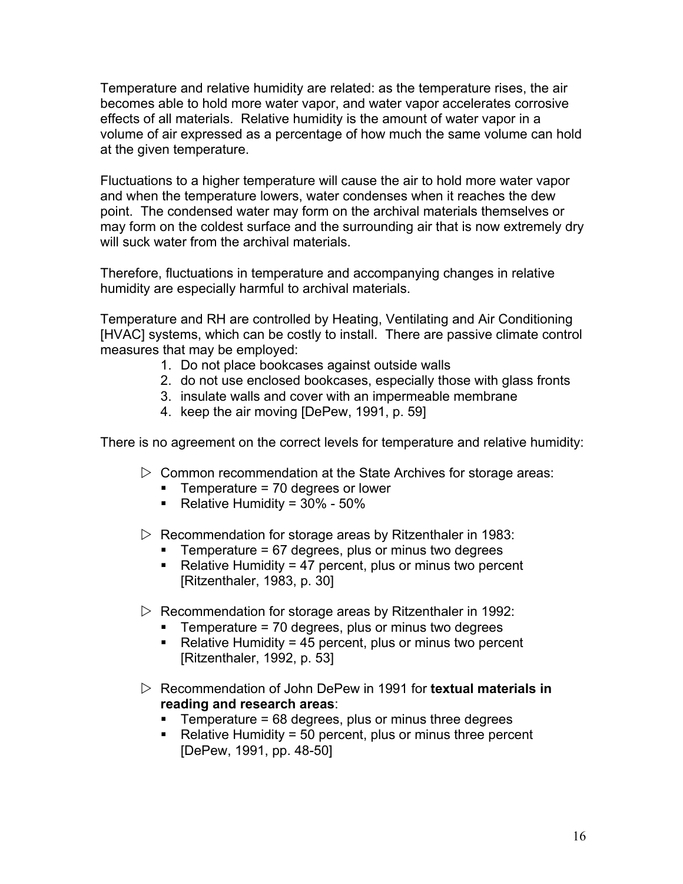Temperature and relative humidity are related: as the temperature rises, the air becomes able to hold more water vapor, and water vapor accelerates corrosive effects of all materials. Relative humidity is the amount of water vapor in a volume of air expressed as a percentage of how much the same volume can hold at the given temperature.

Fluctuations to a higher temperature will cause the air to hold more water vapor and when the temperature lowers, water condenses when it reaches the dew point. The condensed water may form on the archival materials themselves or may form on the coldest surface and the surrounding air that is now extremely dry will suck water from the archival materials.

Therefore, fluctuations in temperature and accompanying changes in relative humidity are especially harmful to archival materials.

Temperature and RH are controlled by Heating, Ventilating and Air Conditioning [HVAC] systems, which can be costly to install. There are passive climate control measures that may be employed:

- 1. Do not place bookcases against outside walls
- 2. do not use enclosed bookcases, especially those with glass fronts
- 3. insulate walls and cover with an impermeable membrane
- 4. keep the air moving [DePew, 1991, p. 59]

There is no agreement on the correct levels for temperature and relative humidity:

- $\triangleright$  Common recommendation at the State Archives for storage areas:
	- $\blacksquare$  Temperature = 70 degrees or lower
	- Relative Humidity =  $30\%$   $50\%$
- $\triangleright$  Recommendation for storage areas by Ritzenthaler in 1983:
	- **Temperature = 67 degrees, plus or minus two degrees**
	- Relative Humidity = 47 percent, plus or minus two percent [Ritzenthaler, 1983, p. 30]
- $\triangleright$  Recommendation for storage areas by Ritzenthaler in 1992:
	- $\blacksquare$  Temperature = 70 degrees, plus or minus two degrees
	- Relative Humidity =  $45$  percent, plus or minus two percent [Ritzenthaler, 1992, p. 53]
- ▷ Recommendation of John DePew in 1991 for **textual materials in reading and research areas**:
	- $\blacksquare$  Temperature = 68 degrees, plus or minus three degrees
	- $\blacksquare$  Relative Humidity = 50 percent, plus or minus three percent [DePew, 1991, pp. 48-50]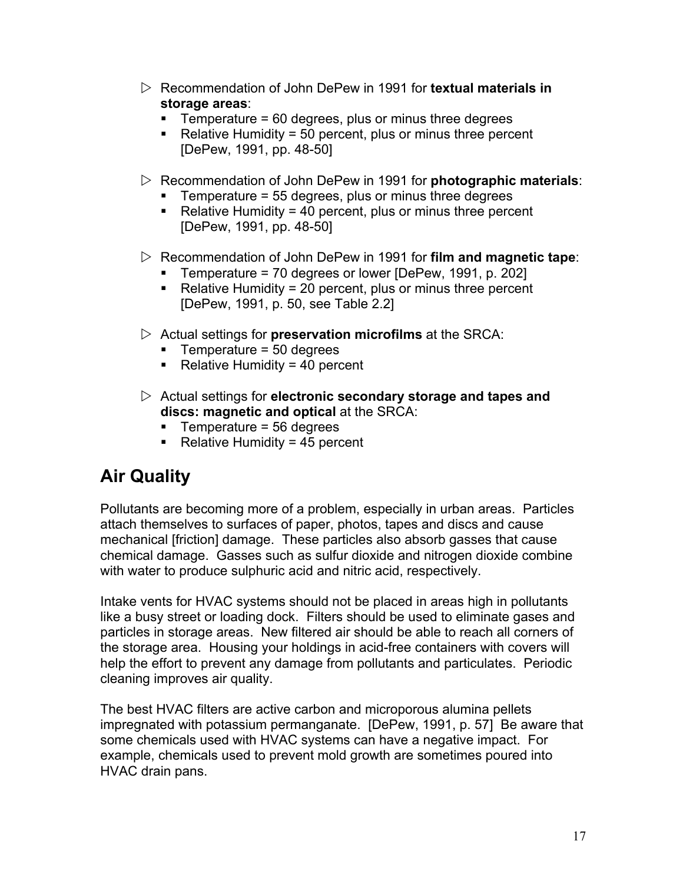- $\triangleright$  Recommendation of John DePew in 1991 for **textual materials in storage areas**:
	- $\blacksquare$  Temperature = 60 degrees, plus or minus three degrees
	- $\blacksquare$  Relative Humidity = 50 percent, plus or minus three percent [DePew, 1991, pp. 48-50]
- $\triangleright$  Recommendation of John DePew in 1991 for **photographic materials**:
	- **Temperature = 55 degrees, plus or minus three degrees**
	- Relative Humidity = 40 percent, plus or minus three percent [DePew, 1991, pp. 48-50]
- $\triangleright$  Recommendation of John DePew in 1991 for **film and magnetic tape**:
	- Temperature = 70 degrees or lower [DePew, 1991, p. 202]
	- Relative Humidity = 20 percent, plus or minus three percent [DePew, 1991, p. 50, see Table 2.2]
- $\triangleright$  Actual settings for **preservation microfilms** at the SRCA:
	- $\blacksquare$  Temperature = 50 degrees
	- Relative Humidity = 40 percent
- $\triangleright$  Actual settings for **electronic secondary storage and tapes and discs: magnetic and optical** at the SRCA:
	- $\blacksquare$  Temperature = 56 degrees
	- Relative Humidity = 45 percent

# **Air Quality**

Pollutants are becoming more of a problem, especially in urban areas. Particles attach themselves to surfaces of paper, photos, tapes and discs and cause mechanical [friction] damage. These particles also absorb gasses that cause chemical damage. Gasses such as sulfur dioxide and nitrogen dioxide combine with water to produce sulphuric acid and nitric acid, respectively.

Intake vents for HVAC systems should not be placed in areas high in pollutants like a busy street or loading dock. Filters should be used to eliminate gases and particles in storage areas. New filtered air should be able to reach all corners of the storage area. Housing your holdings in acid-free containers with covers will help the effort to prevent any damage from pollutants and particulates. Periodic cleaning improves air quality.

The best HVAC filters are active carbon and microporous alumina pellets impregnated with potassium permanganate. [DePew, 1991, p. 57] Be aware that some chemicals used with HVAC systems can have a negative impact. For example, chemicals used to prevent mold growth are sometimes poured into HVAC drain pans.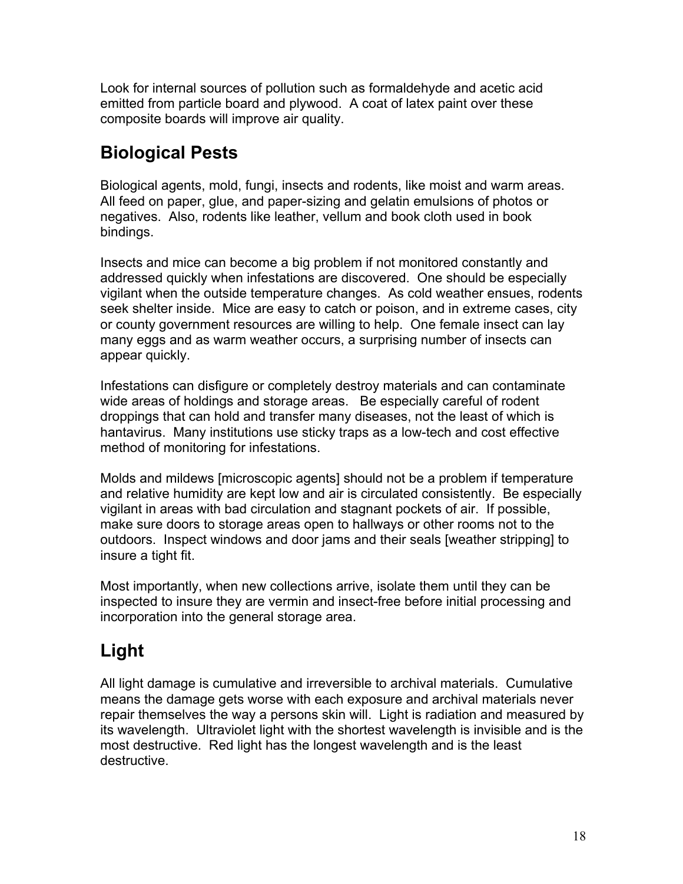Look for internal sources of pollution such as formaldehyde and acetic acid emitted from particle board and plywood. A coat of latex paint over these composite boards will improve air quality.

# **Biological Pests**

Biological agents, mold, fungi, insects and rodents, like moist and warm areas. All feed on paper, glue, and paper-sizing and gelatin emulsions of photos or negatives. Also, rodents like leather, vellum and book cloth used in book bindings.

Insects and mice can become a big problem if not monitored constantly and addressed quickly when infestations are discovered. One should be especially vigilant when the outside temperature changes. As cold weather ensues, rodents seek shelter inside. Mice are easy to catch or poison, and in extreme cases, city or county government resources are willing to help. One female insect can lay many eggs and as warm weather occurs, a surprising number of insects can appear quickly.

Infestations can disfigure or completely destroy materials and can contaminate wide areas of holdings and storage areas. Be especially careful of rodent droppings that can hold and transfer many diseases, not the least of which is hantavirus. Many institutions use sticky traps as a low-tech and cost effective method of monitoring for infestations.

Molds and mildews [microscopic agents] should not be a problem if temperature and relative humidity are kept low and air is circulated consistently. Be especially vigilant in areas with bad circulation and stagnant pockets of air. If possible, make sure doors to storage areas open to hallways or other rooms not to the outdoors. Inspect windows and door jams and their seals [weather stripping] to insure a tight fit.

Most importantly, when new collections arrive, isolate them until they can be inspected to insure they are vermin and insect-free before initial processing and incorporation into the general storage area.

# **Light**

All light damage is cumulative and irreversible to archival materials. Cumulative means the damage gets worse with each exposure and archival materials never repair themselves the way a persons skin will. Light is radiation and measured by its wavelength. Ultraviolet light with the shortest wavelength is invisible and is the most destructive. Red light has the longest wavelength and is the least destructive.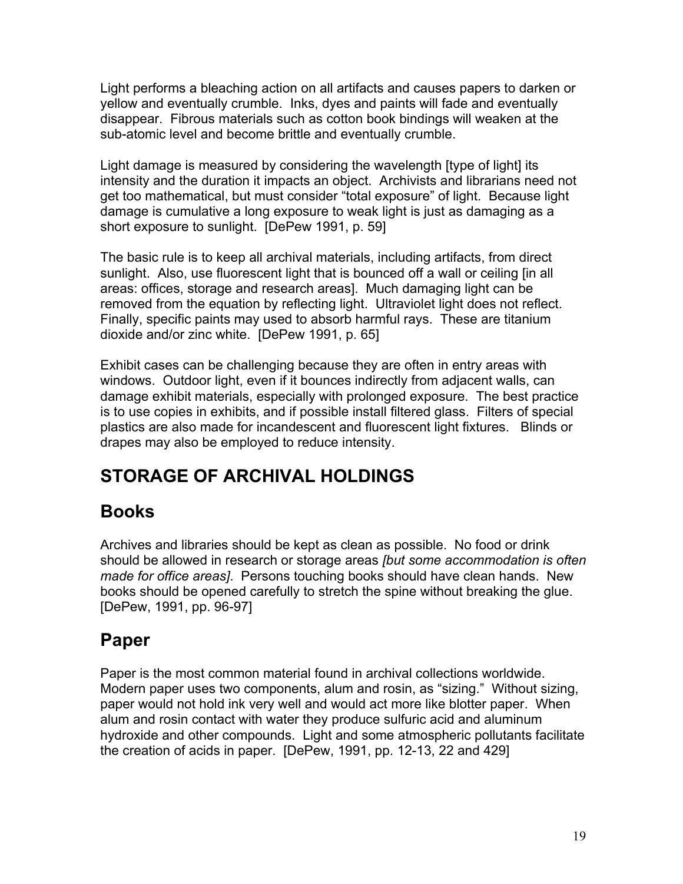Light performs a bleaching action on all artifacts and causes papers to darken or yellow and eventually crumble. Inks, dyes and paints will fade and eventually disappear. Fibrous materials such as cotton book bindings will weaken at the sub-atomic level and become brittle and eventually crumble.

Light damage is measured by considering the wavelength [type of light] its intensity and the duration it impacts an object. Archivists and librarians need not get too mathematical, but must consider "total exposure" of light. Because light damage is cumulative a long exposure to weak light is just as damaging as a short exposure to sunlight. [DePew 1991, p. 59]

The basic rule is to keep all archival materials, including artifacts, from direct sunlight. Also, use fluorescent light that is bounced off a wall or ceiling [in all areas: offices, storage and research areas]. Much damaging light can be removed from the equation by reflecting light. Ultraviolet light does not reflect. Finally, specific paints may used to absorb harmful rays. These are titanium dioxide and/or zinc white. [DePew 1991, p. 65]

Exhibit cases can be challenging because they are often in entry areas with windows. Outdoor light, even if it bounces indirectly from adjacent walls, can damage exhibit materials, especially with prolonged exposure. The best practice is to use copies in exhibits, and if possible install filtered glass. Filters of special plastics are also made for incandescent and fluorescent light fixtures. Blinds or drapes may also be employed to reduce intensity.

# **STORAGE OF ARCHIVAL HOLDINGS**

# **Books**

Archives and libraries should be kept as clean as possible. No food or drink should be allowed in research or storage areas *[but some accommodation is often made for office areas]*. Persons touching books should have clean hands. New books should be opened carefully to stretch the spine without breaking the glue. [DePew, 1991, pp. 96-97]

# **Paper**

Paper is the most common material found in archival collections worldwide. Modern paper uses two components, alum and rosin, as "sizing." Without sizing, paper would not hold ink very well and would act more like blotter paper. When alum and rosin contact with water they produce sulfuric acid and aluminum hydroxide and other compounds. Light and some atmospheric pollutants facilitate the creation of acids in paper. [DePew, 1991, pp. 12-13, 22 and 429]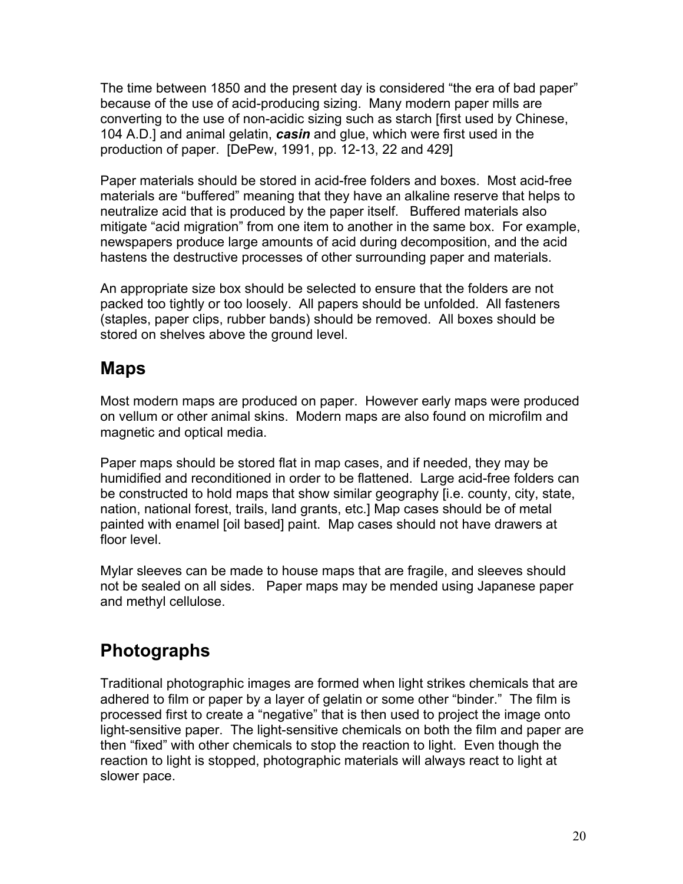The time between 1850 and the present day is considered "the era of bad paper" because of the use of acid-producing sizing. Many modern paper mills are converting to the use of non-acidic sizing such as starch [first used by Chinese, 104 A.D.] and animal gelatin, *casin* and glue, which were first used in the production of paper. [DePew, 1991, pp. 12-13, 22 and 429]

Paper materials should be stored in acid-free folders and boxes. Most acid-free materials are "buffered" meaning that they have an alkaline reserve that helps to neutralize acid that is produced by the paper itself. Buffered materials also mitigate "acid migration" from one item to another in the same box. For example, newspapers produce large amounts of acid during decomposition, and the acid hastens the destructive processes of other surrounding paper and materials.

An appropriate size box should be selected to ensure that the folders are not packed too tightly or too loosely. All papers should be unfolded. All fasteners (staples, paper clips, rubber bands) should be removed. All boxes should be stored on shelves above the ground level.

# **Maps**

Most modern maps are produced on paper. However early maps were produced on vellum or other animal skins. Modern maps are also found on microfilm and magnetic and optical media.

Paper maps should be stored flat in map cases, and if needed, they may be humidified and reconditioned in order to be flattened. Large acid-free folders can be constructed to hold maps that show similar geography [i.e. county, city, state, nation, national forest, trails, land grants, etc.] Map cases should be of metal painted with enamel [oil based] paint. Map cases should not have drawers at floor level

Mylar sleeves can be made to house maps that are fragile, and sleeves should not be sealed on all sides. Paper maps may be mended using Japanese paper and methyl cellulose.

# **Photographs**

Traditional photographic images are formed when light strikes chemicals that are adhered to film or paper by a layer of gelatin or some other "binder." The film is processed first to create a "negative" that is then used to project the image onto light-sensitive paper. The light-sensitive chemicals on both the film and paper are then "fixed" with other chemicals to stop the reaction to light. Even though the reaction to light is stopped, photographic materials will always react to light at slower pace.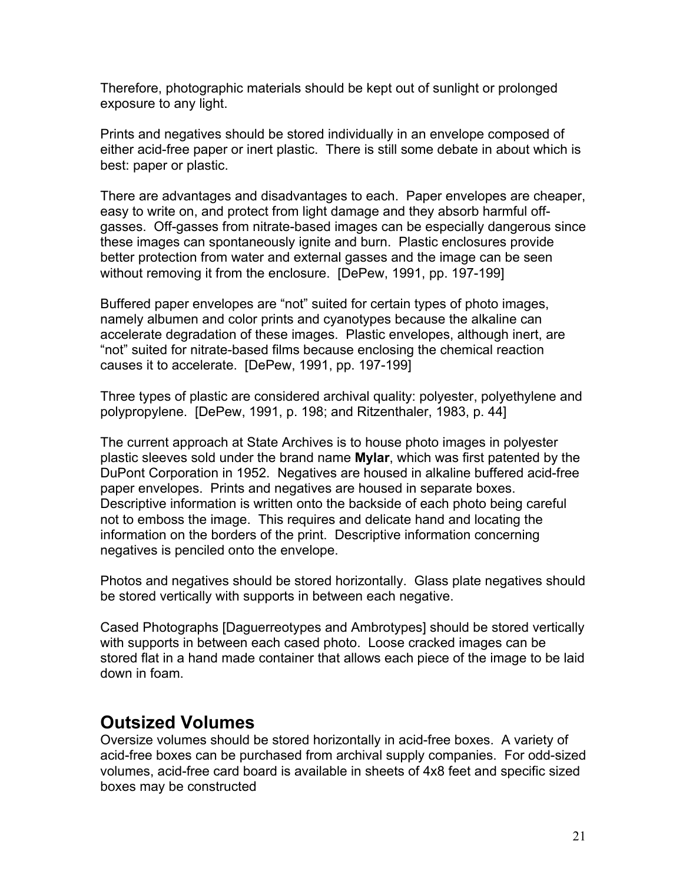Therefore, photographic materials should be kept out of sunlight or prolonged exposure to any light.

Prints and negatives should be stored individually in an envelope composed of either acid-free paper or inert plastic. There is still some debate in about which is best: paper or plastic.

There are advantages and disadvantages to each. Paper envelopes are cheaper, easy to write on, and protect from light damage and they absorb harmful offgasses. Off-gasses from nitrate-based images can be especially dangerous since these images can spontaneously ignite and burn. Plastic enclosures provide better protection from water and external gasses and the image can be seen without removing it from the enclosure. [DePew, 1991, pp. 197-199]

Buffered paper envelopes are "not" suited for certain types of photo images, namely albumen and color prints and cyanotypes because the alkaline can accelerate degradation of these images. Plastic envelopes, although inert, are "not" suited for nitrate-based films because enclosing the chemical reaction causes it to accelerate. [DePew, 1991, pp. 197-199]

Three types of plastic are considered archival quality: polyester, polyethylene and polypropylene. [DePew, 1991, p. 198; and Ritzenthaler, 1983, p. 44]

The current approach at State Archives is to house photo images in polyester plastic sleeves sold under the brand name **Mylar**, which was first patented by the DuPont Corporation in 1952. Negatives are housed in alkaline buffered acid-free paper envelopes. Prints and negatives are housed in separate boxes. Descriptive information is written onto the backside of each photo being careful not to emboss the image. This requires and delicate hand and locating the information on the borders of the print. Descriptive information concerning negatives is penciled onto the envelope.

Photos and negatives should be stored horizontally. Glass plate negatives should be stored vertically with supports in between each negative.

Cased Photographs [Daguerreotypes and Ambrotypes] should be stored vertically with supports in between each cased photo. Loose cracked images can be stored flat in a hand made container that allows each piece of the image to be laid down in foam.

### **Outsized Volumes**

Oversize volumes should be stored horizontally in acid-free boxes. A variety of acid-free boxes can be purchased from archival supply companies. For odd-sized volumes, acid-free card board is available in sheets of 4x8 feet and specific sized boxes may be constructed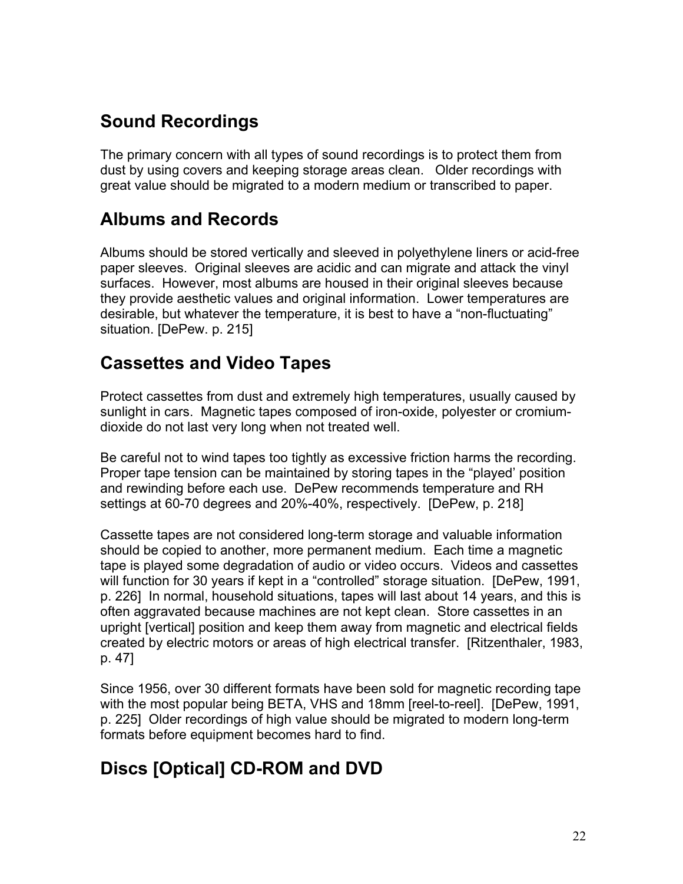# **Sound Recordings**

The primary concern with all types of sound recordings is to protect them from dust by using covers and keeping storage areas clean. Older recordings with great value should be migrated to a modern medium or transcribed to paper.

# **Albums and Records**

Albums should be stored vertically and sleeved in polyethylene liners or acid-free paper sleeves. Original sleeves are acidic and can migrate and attack the vinyl surfaces. However, most albums are housed in their original sleeves because they provide aesthetic values and original information. Lower temperatures are desirable, but whatever the temperature, it is best to have a "non-fluctuating" situation. [DePew. p. 215]

# **Cassettes and Video Tapes**

Protect cassettes from dust and extremely high temperatures, usually caused by sunlight in cars. Magnetic tapes composed of iron-oxide, polyester or cromiumdioxide do not last very long when not treated well.

Be careful not to wind tapes too tightly as excessive friction harms the recording. Proper tape tension can be maintained by storing tapes in the "played' position and rewinding before each use. DePew recommends temperature and RH settings at 60-70 degrees and 20%-40%, respectively. [DePew, p. 218]

Cassette tapes are not considered long-term storage and valuable information should be copied to another, more permanent medium. Each time a magnetic tape is played some degradation of audio or video occurs. Videos and cassettes will function for 30 years if kept in a "controlled" storage situation. [DePew, 1991, p. 226] In normal, household situations, tapes will last about 14 years, and this is often aggravated because machines are not kept clean. Store cassettes in an upright [vertical] position and keep them away from magnetic and electrical fields created by electric motors or areas of high electrical transfer. [Ritzenthaler, 1983, p. 47]

Since 1956, over 30 different formats have been sold for magnetic recording tape with the most popular being BETA, VHS and 18mm [reel-to-reel]. [DePew, 1991, p. 225] Older recordings of high value should be migrated to modern long-term formats before equipment becomes hard to find.

# **Discs [Optical] CD-ROM and DVD**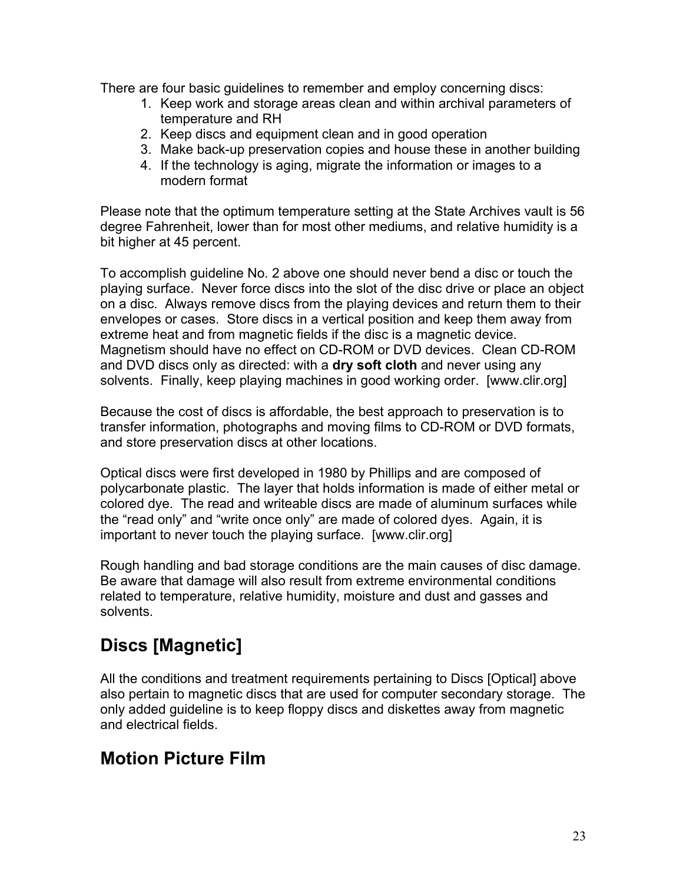There are four basic guidelines to remember and employ concerning discs:

- 1. Keep work and storage areas clean and within archival parameters of temperature and RH
- 2. Keep discs and equipment clean and in good operation
- 3. Make back-up preservation copies and house these in another building
- 4. If the technology is aging, migrate the information or images to a modern format

Please note that the optimum temperature setting at the State Archives vault is 56 degree Fahrenheit, lower than for most other mediums, and relative humidity is a bit higher at 45 percent.

To accomplish guideline No. 2 above one should never bend a disc or touch the playing surface. Never force discs into the slot of the disc drive or place an object on a disc. Always remove discs from the playing devices and return them to their envelopes or cases. Store discs in a vertical position and keep them away from extreme heat and from magnetic fields if the disc is a magnetic device. Magnetism should have no effect on CD-ROM or DVD devices. Clean CD-ROM and DVD discs only as directed: with a **dry soft cloth** and never using any solvents. Finally, keep playing machines in good working order. [www.clir.org]

Because the cost of discs is affordable, the best approach to preservation is to transfer information, photographs and moving films to CD-ROM or DVD formats, and store preservation discs at other locations.

Optical discs were first developed in 1980 by Phillips and are composed of polycarbonate plastic. The layer that holds information is made of either metal or colored dye. The read and writeable discs are made of aluminum surfaces while the "read only" and "write once only" are made of colored dyes. Again, it is important to never touch the playing surface. [www.clir.org]

Rough handling and bad storage conditions are the main causes of disc damage. Be aware that damage will also result from extreme environmental conditions related to temperature, relative humidity, moisture and dust and gasses and solvents.

# **Discs [Magnetic]**

All the conditions and treatment requirements pertaining to Discs [Optical] above also pertain to magnetic discs that are used for computer secondary storage. The only added guideline is to keep floppy discs and diskettes away from magnetic and electrical fields.

# **Motion Picture Film**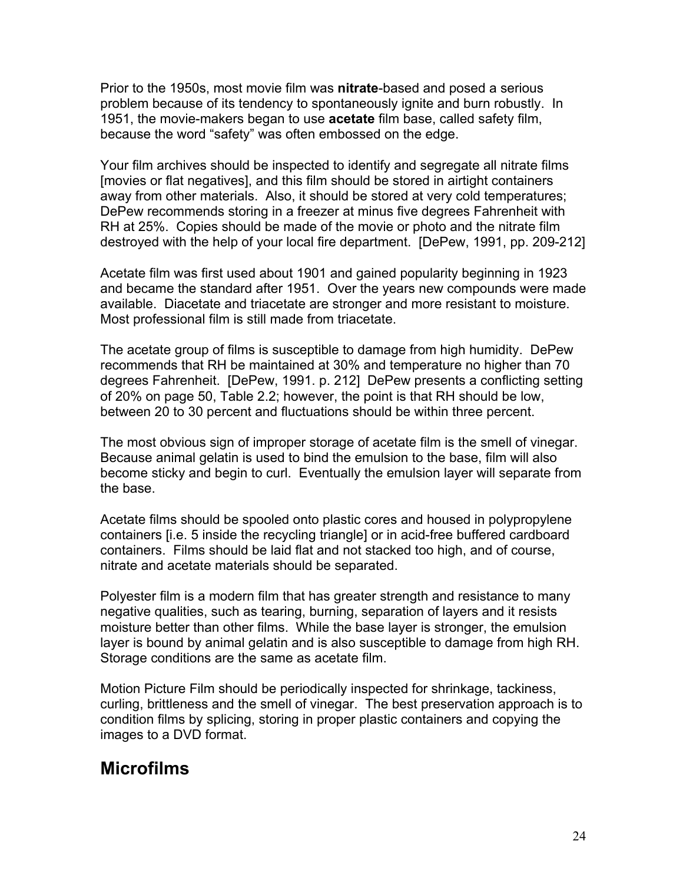Prior to the 1950s, most movie film was **nitrate**-based and posed a serious problem because of its tendency to spontaneously ignite and burn robustly. In 1951, the movie-makers began to use **acetate** film base, called safety film, because the word "safety" was often embossed on the edge.

Your film archives should be inspected to identify and segregate all nitrate films [movies or flat negatives], and this film should be stored in airtight containers away from other materials. Also, it should be stored at very cold temperatures; DePew recommends storing in a freezer at minus five degrees Fahrenheit with RH at 25%. Copies should be made of the movie or photo and the nitrate film destroyed with the help of your local fire department. [DePew, 1991, pp. 209-212]

Acetate film was first used about 1901 and gained popularity beginning in 1923 and became the standard after 1951. Over the years new compounds were made available. Diacetate and triacetate are stronger and more resistant to moisture. Most professional film is still made from triacetate.

The acetate group of films is susceptible to damage from high humidity. DePew recommends that RH be maintained at 30% and temperature no higher than 70 degrees Fahrenheit. [DePew, 1991. p. 212] DePew presents a conflicting setting of 20% on page 50, Table 2.2; however, the point is that RH should be low, between 20 to 30 percent and fluctuations should be within three percent.

The most obvious sign of improper storage of acetate film is the smell of vinegar. Because animal gelatin is used to bind the emulsion to the base, film will also become sticky and begin to curl. Eventually the emulsion layer will separate from the base.

Acetate films should be spooled onto plastic cores and housed in polypropylene containers [i.e. 5 inside the recycling triangle] or in acid-free buffered cardboard containers. Films should be laid flat and not stacked too high, and of course, nitrate and acetate materials should be separated.

Polyester film is a modern film that has greater strength and resistance to many negative qualities, such as tearing, burning, separation of layers and it resists moisture better than other films. While the base layer is stronger, the emulsion layer is bound by animal gelatin and is also susceptible to damage from high RH. Storage conditions are the same as acetate film.

Motion Picture Film should be periodically inspected for shrinkage, tackiness, curling, brittleness and the smell of vinegar. The best preservation approach is to condition films by splicing, storing in proper plastic containers and copying the images to a DVD format.

# **Microfilms**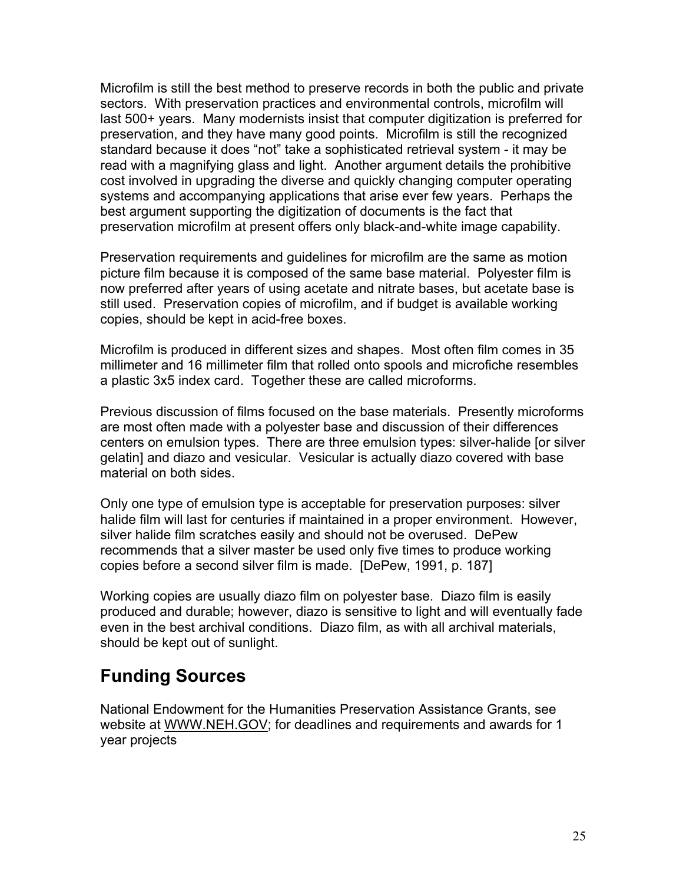Microfilm is still the best method to preserve records in both the public and private sectors. With preservation practices and environmental controls, microfilm will last 500+ years. Many modernists insist that computer digitization is preferred for preservation, and they have many good points. Microfilm is still the recognized standard because it does "not" take a sophisticated retrieval system - it may be read with a magnifying glass and light. Another argument details the prohibitive cost involved in upgrading the diverse and quickly changing computer operating systems and accompanying applications that arise ever few years. Perhaps the best argument supporting the digitization of documents is the fact that preservation microfilm at present offers only black-and-white image capability.

Preservation requirements and guidelines for microfilm are the same as motion picture film because it is composed of the same base material. Polyester film is now preferred after years of using acetate and nitrate bases, but acetate base is still used. Preservation copies of microfilm, and if budget is available working copies, should be kept in acid-free boxes.

Microfilm is produced in different sizes and shapes. Most often film comes in 35 millimeter and 16 millimeter film that rolled onto spools and microfiche resembles a plastic 3x5 index card. Together these are called microforms.

Previous discussion of films focused on the base materials. Presently microforms are most often made with a polyester base and discussion of their differences centers on emulsion types. There are three emulsion types: silver-halide [or silver gelatin] and diazo and vesicular. Vesicular is actually diazo covered with base material on both sides.

Only one type of emulsion type is acceptable for preservation purposes: silver halide film will last for centuries if maintained in a proper environment. However, silver halide film scratches easily and should not be overused. DePew recommends that a silver master be used only five times to produce working copies before a second silver film is made. [DePew, 1991, p. 187]

Working copies are usually diazo film on polyester base. Diazo film is easily produced and durable; however, diazo is sensitive to light and will eventually fade even in the best archival conditions. Diazo film, as with all archival materials, should be kept out of sunlight.

# **Funding Sources**

National Endowment for the Humanities Preservation Assistance Grants, see website at WWW.NEH.GOV; for deadlines and requirements and awards for 1 year projects